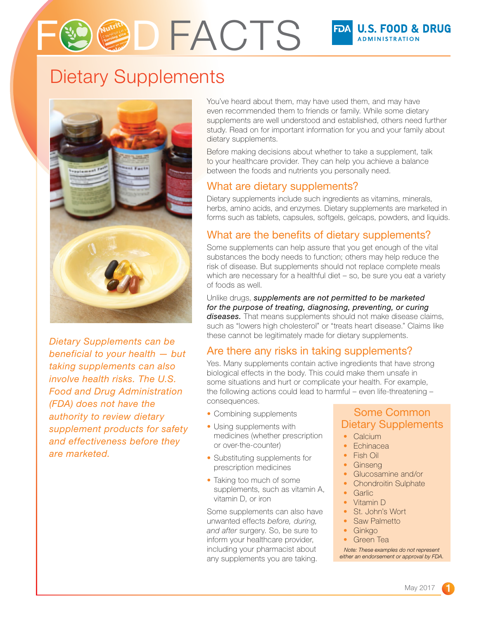# **EACTS**

### Dietary Supplements



*Dietary Supplements can be beneficial to your health — but taking supplements can also involve health risks. The U.S. Food and Drug Administration (FDA) does not have the authority to review dietary supplement products for safety and effectiveness before they are marketed.* 

You've heard about them, may have used them, and may have even recommended them to friends or family. While some dietary supplements are well understood and established, others need further study. Read on for important information for you and your family about dietary supplements.

Before making decisions about whether to take a supplement, talk to your healthcare provider. They can help you achieve a balance between the foods and nutrients you personally need.

#### What are dietary supplements?

Dietary supplements include such ingredients as vitamins, minerals, herbs, amino acids, and enzymes. Dietary supplements are marketed in forms such as tablets, capsules, softgels, gelcaps, powders, and liquids.

#### What are the benefits of dietary supplements?

Some supplements can help assure that you get enough of the vital substances the body needs to function; others may help reduce the risk of disease. But supplements should not replace complete meals which are necessary for a healthful diet – so, be sure you eat a variety of foods as well.

Unlike drugs, *supplements are not permitted to be marketed*  for the purpose of treating, diagnosing, preventing, or curing *diseases.* That means supplements should not make disease claims, such as "lowers high cholesterol" or "treats heart disease." Claims like these cannot be legitimately made for dietary supplements.

#### Are there any risks in taking supplements?

Yes. Many supplements contain active ingredients that have strong biological effects in the body. This could make them unsafe in some situations and hurt or complicate your health. For example, the following actions could lead to harmful – even life-threatening – consequences.

- Combining supplements
- Using supplements with medicines (whether prescription or over-the-counter)
- Substituting supplements for prescription medicines
- Taking too much of some supplements, such as vitamin A, vitamin D, or iron

Some supplements can also have unwanted effects *before, during, and after* surgery. So, be sure to inform your healthcare provider, including your pharmacist about any supplements you are taking.

#### Some Common Dietary Supplements

- Calcium
- Echinacea
- Fish Oil
- **Ginseng**
- Glucosamine and/or
- Chondroitin Sulphate
- Garlic
- Vitamin D
- St. John's Wort
- Saw Palmetto
- Ginkgo
- Green Tea

*Note: These examples do not represent either an endorsement or approval by FDA.*